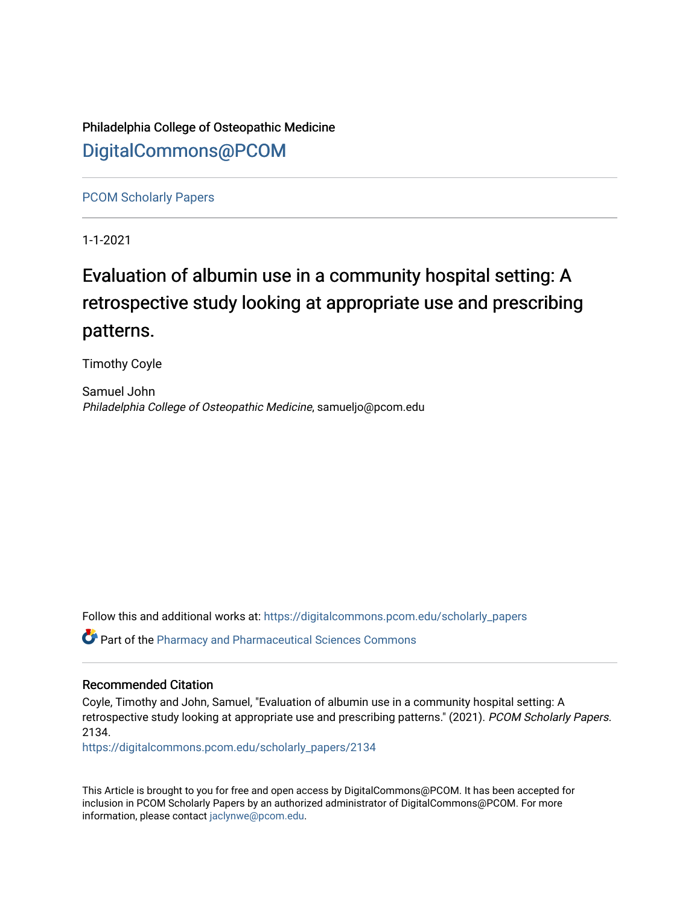Philadelphia College of Osteopathic Medicine [DigitalCommons@PCOM](https://digitalcommons.pcom.edu/) 

[PCOM Scholarly Papers](https://digitalcommons.pcom.edu/scholarly_papers) 

1-1-2021

# Evaluation of albumin use in a community hospital setting: A retrospective study looking at appropriate use and prescribing patterns.

Timothy Coyle

Samuel John Philadelphia College of Osteopathic Medicine, samueljo@pcom.edu

Follow this and additional works at: [https://digitalcommons.pcom.edu/scholarly\\_papers](https://digitalcommons.pcom.edu/scholarly_papers?utm_source=digitalcommons.pcom.edu%2Fscholarly_papers%2F2134&utm_medium=PDF&utm_campaign=PDFCoverPages) 

Part of the [Pharmacy and Pharmaceutical Sciences Commons](http://network.bepress.com/hgg/discipline/731?utm_source=digitalcommons.pcom.edu%2Fscholarly_papers%2F2134&utm_medium=PDF&utm_campaign=PDFCoverPages)

#### Recommended Citation

Coyle, Timothy and John, Samuel, "Evaluation of albumin use in a community hospital setting: A retrospective study looking at appropriate use and prescribing patterns." (2021). PCOM Scholarly Papers. 2134.

[https://digitalcommons.pcom.edu/scholarly\\_papers/2134](https://digitalcommons.pcom.edu/scholarly_papers/2134?utm_source=digitalcommons.pcom.edu%2Fscholarly_papers%2F2134&utm_medium=PDF&utm_campaign=PDFCoverPages) 

This Article is brought to you for free and open access by DigitalCommons@PCOM. It has been accepted for inclusion in PCOM Scholarly Papers by an authorized administrator of DigitalCommons@PCOM. For more information, please contact [jaclynwe@pcom.edu](mailto:jaclynwe@pcom.edu).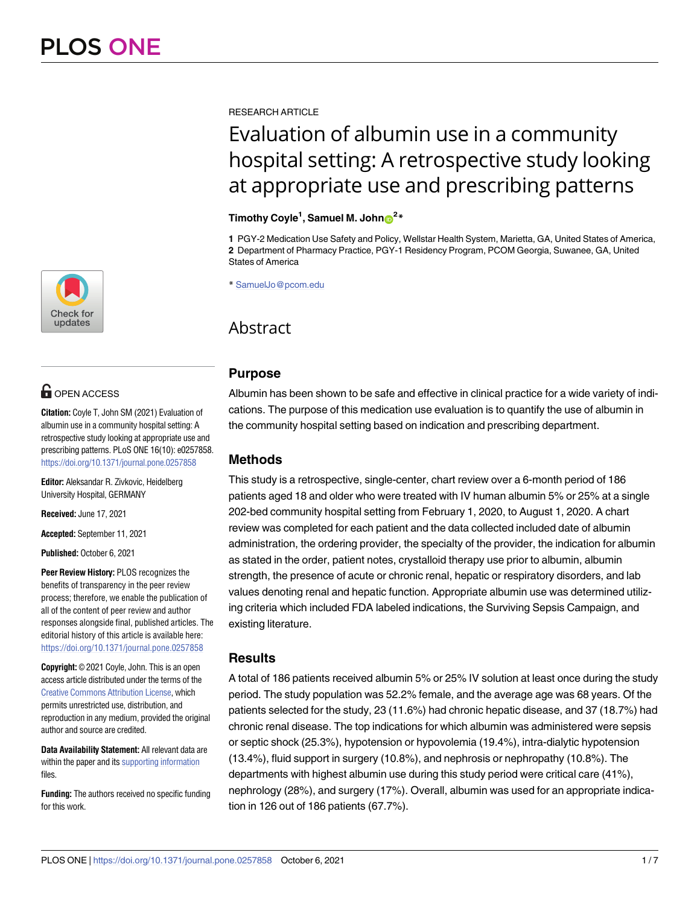

## **OPEN ACCESS**

**Citation:** Coyle T, John SM (2021) Evaluation of albumin use in a community hospital setting: A retrospective study looking at appropriate use and prescribing patterns. PLoS ONE 16(10): e0257858. <https://doi.org/10.1371/journal.pone.0257858>

**Editor:** Aleksandar R. Zivkovic, Heidelberg University Hospital, GERMANY

**Received:** June 17, 2021

**Accepted:** September 11, 2021

**Published:** October 6, 2021

**Peer Review History:** PLOS recognizes the benefits of transparency in the peer review process; therefore, we enable the publication of all of the content of peer review and author responses alongside final, published articles. The editorial history of this article is available here: <https://doi.org/10.1371/journal.pone.0257858>

**Copyright:** © 2021 Coyle, John. This is an open access article distributed under the terms of the Creative Commons [Attribution](http://creativecommons.org/licenses/by/4.0/) License, which permits unrestricted use, distribution, and reproduction in any medium, provided the original author and source are credited.

**Data Availability Statement:** All relevant data are within the paper and its supporting [information](#page-6-0) files.

**Funding:** The authors received no specific funding for this work.

RESEARCH ARTICLE

# Evaluation of albumin use in a community hospital setting: A retrospective study looking at appropriate use and prescribing patterns

#### $\frac{1}{2}$  **Timothy Coyle<sup>1</sup>**, Samuel M. John $\frac{1}{2}$

**1** PGY-2 Medication Use Safety and Policy, Wellstar Health System, Marietta, GA, United States of America, **2** Department of Pharmacy Practice, PGY-1 Residency Program, PCOM Georgia, Suwanee, GA, United States of America

\* SamuelJo@pcom.edu

### Abstract

#### **Purpose**

Albumin has been shown to be safe and effective in clinical practice for a wide variety of indications. The purpose of this medication use evaluation is to quantify the use of albumin in the community hospital setting based on indication and prescribing department.

### **Methods**

This study is a retrospective, single-center, chart review over a 6-month period of 186 patients aged 18 and older who were treated with IV human albumin 5% or 25% at a single 202-bed community hospital setting from February 1, 2020, to August 1, 2020. A chart review was completed for each patient and the data collected included date of albumin administration, the ordering provider, the specialty of the provider, the indication for albumin as stated in the order, patient notes, crystalloid therapy use prior to albumin, albumin strength, the presence of acute or chronic renal, hepatic or respiratory disorders, and lab values denoting renal and hepatic function. Appropriate albumin use was determined utilizing criteria which included FDA labeled indications, the Surviving Sepsis Campaign, and existing literature.

#### **Results**

A total of 186 patients received albumin 5% or 25% IV solution at least once during the study period. The study population was 52.2% female, and the average age was 68 years. Of the patients selected for the study, 23 (11.6%) had chronic hepatic disease, and 37 (18.7%) had chronic renal disease. The top indications for which albumin was administered were sepsis or septic shock (25.3%), hypotension or hypovolemia (19.4%), intra-dialytic hypotension (13.4%), fluid support in surgery (10.8%), and nephrosis or nephropathy (10.8%). The departments with highest albumin use during this study period were critical care (41%), nephrology (28%), and surgery (17%). Overall, albumin was used for an appropriate indication in 126 out of 186 patients (67.7%).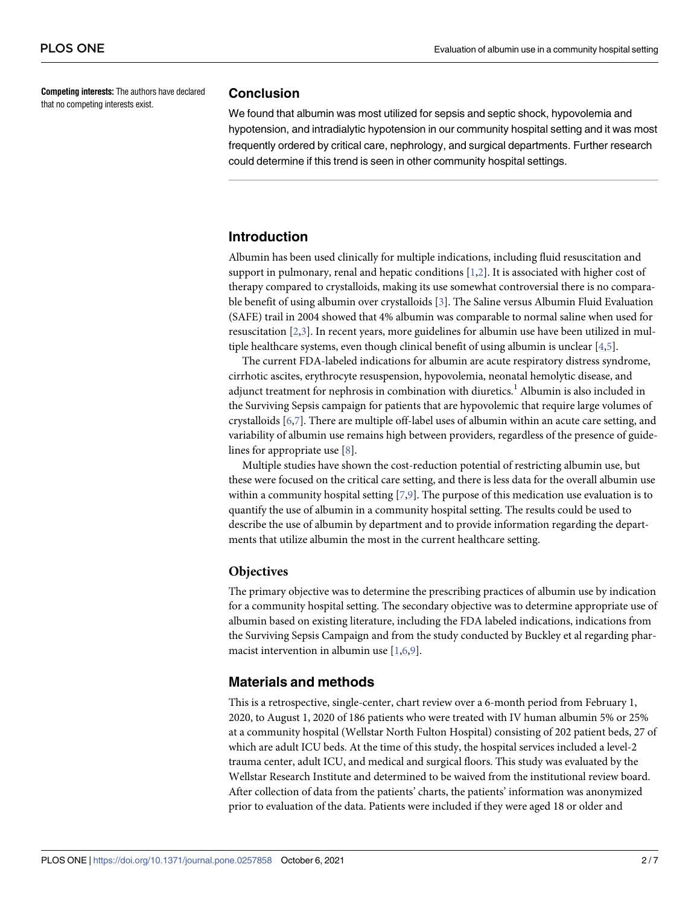<span id="page-2-0"></span>**Competing interests:** The authors have declared that no competing interests exist.

#### **Conclusion**

We found that albumin was most utilized for sepsis and septic shock, hypovolemia and hypotension, and intradialytic hypotension in our community hospital setting and it was most frequently ordered by critical care, nephrology, and surgical departments. Further research could determine if this trend is seen in other community hospital settings.

#### **Introduction**

Albumin has been used clinically for multiple indications, including fluid resuscitation and support in pulmonary, renal and hepatic conditions  $[1,2]$  $[1,2]$ . It is associated with higher cost of therapy compared to crystalloids, making its use somewhat controversial there is no comparable benefit of using albumin over crystalloids [[3\]](#page-7-0). The Saline versus Albumin Fluid Evaluation (SAFE) trail in 2004 showed that 4% albumin was comparable to normal saline when used for resuscitation [\[2](#page-7-0),[3](#page-7-0)]. In recent years, more guidelines for albumin use have been utilized in mul-tiple healthcare systems, even though clinical benefit of using albumin is unclear [[4,5\]](#page-7-0).

The current FDA-labeled indications for albumin are acute respiratory distress syndrome, cirrhotic ascites, erythrocyte resuspension, hypovolemia, neonatal hemolytic disease, and adjunct treatment for nephrosis in combination with diuretics.<sup>1</sup> Albumin is also included in the Surviving Sepsis campaign for patients that are hypovolemic that require large volumes of crystalloids [[6](#page-7-0),[7](#page-7-0)]. There are multiple off-label uses of albumin within an acute care setting, and variability of albumin use remains high between providers, regardless of the presence of guidelines for appropriate use [\[8\]](#page-7-0).

Multiple studies have shown the cost-reduction potential of restricting albumin use, but these were focused on the critical care setting, and there is less data for the overall albumin use within a community hospital setting [[7](#page-7-0),[9](#page-7-0)]. The purpose of this medication use evaluation is to quantify the use of albumin in a community hospital setting. The results could be used to describe the use of albumin by department and to provide information regarding the departments that utilize albumin the most in the current healthcare setting.

#### **Objectives**

The primary objective was to determine the prescribing practices of albumin use by indication for a community hospital setting. The secondary objective was to determine appropriate use of albumin based on existing literature, including the FDA labeled indications, indications from the Surviving Sepsis Campaign and from the study conducted by Buckley et al regarding pharmacist intervention in albumin use [[1,6,9\]](#page-7-0).

#### **Materials and methods**

This is a retrospective, single-center, chart review over a 6-month period from February 1, 2020, to August 1, 2020 of 186 patients who were treated with IV human albumin 5% or 25% at a community hospital (Wellstar North Fulton Hospital) consisting of 202 patient beds, 27 of which are adult ICU beds. At the time of this study, the hospital services included a level-2 trauma center, adult ICU, and medical and surgical floors. This study was evaluated by the Wellstar Research Institute and determined to be waived from the institutional review board. After collection of data from the patients' charts, the patients' information was anonymized prior to evaluation of the data. Patients were included if they were aged 18 or older and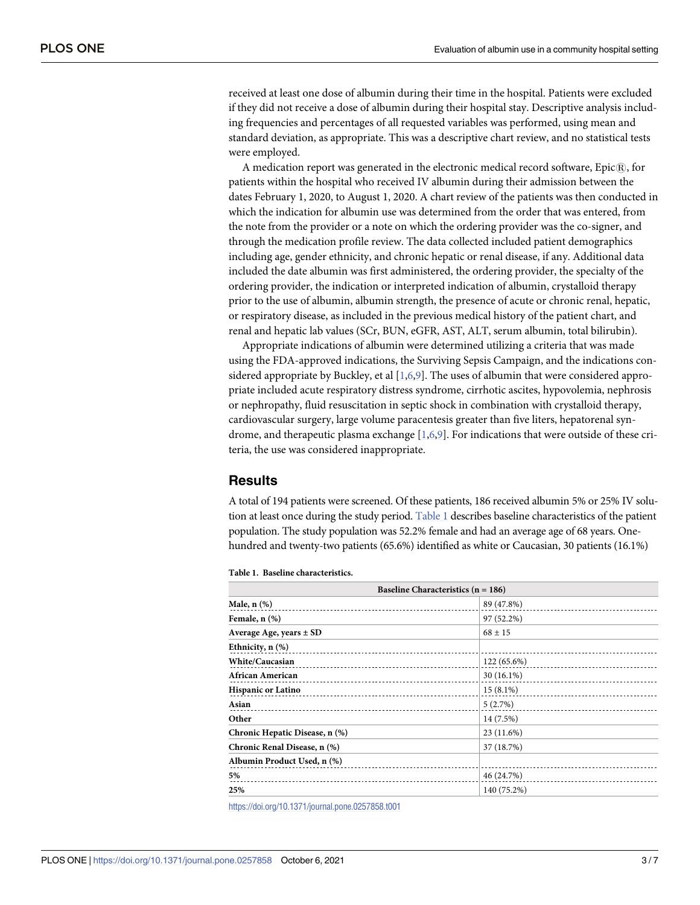received at least one dose of albumin during their time in the hospital. Patients were excluded if they did not receive a dose of albumin during their hospital stay. Descriptive analysis including frequencies and percentages of all requested variables was performed, using mean and standard deviation, as appropriate. This was a descriptive chart review, and no statistical tests were employed.

A medication report was generated in the electronic medical record software, Epic $\mathbb{R}$ , for patients within the hospital who received IV albumin during their admission between the dates February 1, 2020, to August 1, 2020. A chart review of the patients was then conducted in which the indication for albumin use was determined from the order that was entered, from the note from the provider or a note on which the ordering provider was the co-signer, and through the medication profile review. The data collected included patient demographics including age, gender ethnicity, and chronic hepatic or renal disease, if any. Additional data included the date albumin was first administered, the ordering provider, the specialty of the ordering provider, the indication or interpreted indication of albumin, crystalloid therapy prior to the use of albumin, albumin strength, the presence of acute or chronic renal, hepatic, or respiratory disease, as included in the previous medical history of the patient chart, and renal and hepatic lab values (SCr, BUN, eGFR, AST, ALT, serum albumin, total bilirubin).

Appropriate indications of albumin were determined utilizing a criteria that was made using the FDA-approved indications, the Surviving Sepsis Campaign, and the indications considered appropriate by Buckley, et al  $[1,6,9]$  $[1,6,9]$  $[1,6,9]$  $[1,6,9]$  $[1,6,9]$  $[1,6,9]$  $[1,6,9]$ . The uses of albumin that were considered appropriate included acute respiratory distress syndrome, cirrhotic ascites, hypovolemia, nephrosis or nephropathy, fluid resuscitation in septic shock in combination with crystalloid therapy, cardiovascular surgery, large volume paracentesis greater than five liters, hepatorenal syndrome, and therapeutic plasma exchange [[1](#page-7-0),[6](#page-7-0),[9](#page-7-0)]. For indications that were outside of these criteria, the use was considered inappropriate.

#### **Results**

A total of 194 patients were screened. Of these patients, 186 received albumin 5% or 25% IV solution at least once during the study period. Table 1 describes baseline characteristics of the patient population. The study population was 52.2% female and had an average age of 68 years. Onehundred and twenty-two patients (65.6%) identified as white or Caucasian, 30 patients (16.1%)

| Baseline Characteristics $(n = 186)$ |              |
|--------------------------------------|--------------|
| Male, $n$ $(\%)$                     | 89 (47.8%)   |
| Female, n (%)                        | 97 (52.2%)   |
| Average Age, years $\pm$ SD          | $68 \pm 15$  |
| Ethnicity, $n$ $%$                   |              |
| <b>White/Caucasian</b>               | 122 (65.6%)  |
| African American                     | $30(16.1\%)$ |
| <b>Hispanic or Latino</b>            | $15(8.1\%)$  |
| Asian                                | 5(2.7%)      |
| Other                                | 14 (7.5%)    |
| Chronic Hepatic Disease, n (%)       | 23 (11.6%)   |
| Chronic Renal Disease, n (%)         | 37 (18.7%)   |
| Albumin Product Used, n (%)          |              |
| 5%                                   | 46 (24.7%)   |
| 25%                                  | 140 (75.2%)  |

#### **Table 1. Baseline characteristics.**

<https://doi.org/10.1371/journal.pone.0257858.t001>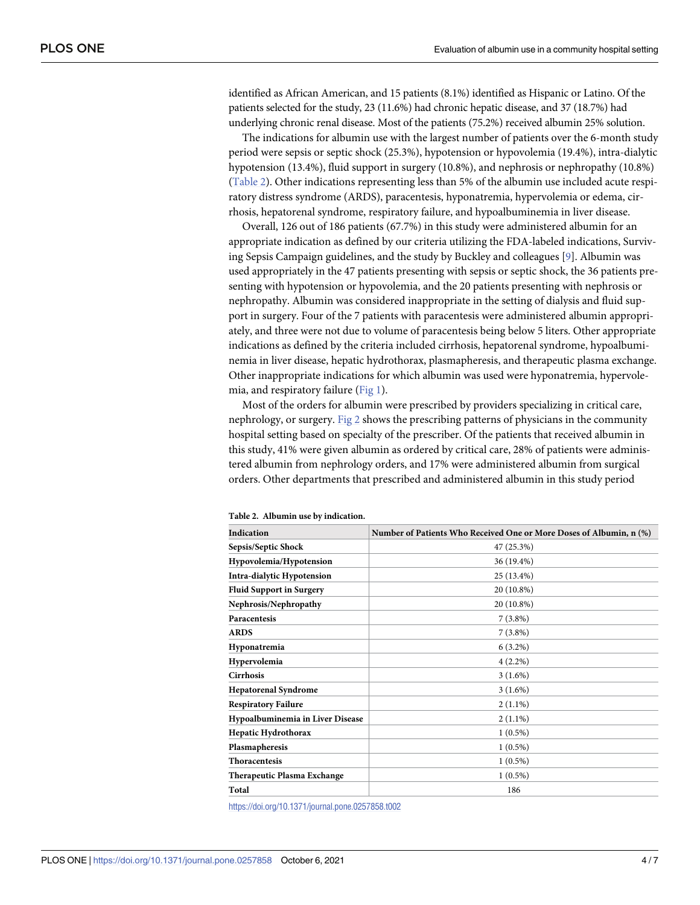<span id="page-4-0"></span>identified as African American, and 15 patients (8.1%) identified as Hispanic or Latino. Of the patients selected for the study, 23 (11.6%) had chronic hepatic disease, and 37 (18.7%) had underlying chronic renal disease. Most of the patients (75.2%) received albumin 25% solution.

The indications for albumin use with the largest number of patients over the 6-month study period were sepsis or septic shock (25.3%), hypotension or hypovolemia (19.4%), intra-dialytic hypotension (13.4%), fluid support in surgery (10.8%), and nephrosis or nephropathy (10.8%) (Table 2). Other indications representing less than 5% of the albumin use included acute respiratory distress syndrome (ARDS), paracentesis, hyponatremia, hypervolemia or edema, cirrhosis, hepatorenal syndrome, respiratory failure, and hypoalbuminemia in liver disease.

Overall, 126 out of 186 patients (67.7%) in this study were administered albumin for an appropriate indication as defined by our criteria utilizing the FDA-labeled indications, Surviving Sepsis Campaign guidelines, and the study by Buckley and colleagues [[9\]](#page-7-0). Albumin was used appropriately in the 47 patients presenting with sepsis or septic shock, the 36 patients presenting with hypotension or hypovolemia, and the 20 patients presenting with nephrosis or nephropathy. Albumin was considered inappropriate in the setting of dialysis and fluid support in surgery. Four of the 7 patients with paracentesis were administered albumin appropriately, and three were not due to volume of paracentesis being below 5 liters. Other appropriate indications as defined by the criteria included cirrhosis, hepatorenal syndrome, hypoalbuminemia in liver disease, hepatic hydrothorax, plasmapheresis, and therapeutic plasma exchange. Other inappropriate indications for which albumin was used were hyponatremia, hypervolemia, and respiratory failure [\(Fig](#page-5-0) 1).

Most of the orders for albumin were prescribed by providers specializing in critical care, nephrology, or surgery. [Fig](#page-5-0) 2 shows the prescribing patterns of physicians in the community hospital setting based on specialty of the prescriber. Of the patients that received albumin in this study, 41% were given albumin as ordered by critical care, 28% of patients were administered albumin from nephrology orders, and 17% were administered albumin from surgical orders. Other departments that prescribed and administered albumin in this study period

| Indication                         | Number of Patients Who Received One or More Doses of Albumin, n (%) |
|------------------------------------|---------------------------------------------------------------------|
| Sepsis/Septic Shock                | 47 (25.3%)                                                          |
| Hypovolemia/Hypotension            | 36 (19.4%)                                                          |
| <b>Intra-dialytic Hypotension</b>  | 25 (13.4%)                                                          |
| <b>Fluid Support in Surgery</b>    | 20 (10.8%)                                                          |
| Nephrosis/Nephropathy              | 20 (10.8%)                                                          |
| <b>Paracentesis</b>                | $7(3.8\%)$                                                          |
| <b>ARDS</b>                        | $7(3.8\%)$                                                          |
| Hyponatremia                       | $6(3.2\%)$                                                          |
| Hypervolemia                       | $4(2.2\%)$                                                          |
| <b>Cirrhosis</b>                   | $3(1.6\%)$                                                          |
| <b>Hepatorenal Syndrome</b>        | $3(1.6\%)$                                                          |
| <b>Respiratory Failure</b>         | $2(1.1\%)$                                                          |
| Hypoalbuminemia in Liver Disease   | $2(1.1\%)$                                                          |
| <b>Hepatic Hydrothorax</b>         | $1(0.5\%)$                                                          |
| Plasmapheresis                     | $1(0.5\%)$                                                          |
| <b>Thoracentesis</b>               | $1(0.5\%)$                                                          |
| <b>Therapeutic Plasma Exchange</b> | $1(0.5\%)$                                                          |
| Total                              | 186                                                                 |
|                                    |                                                                     |

**Table 2. Albumin use by indication.**

<https://doi.org/10.1371/journal.pone.0257858.t002>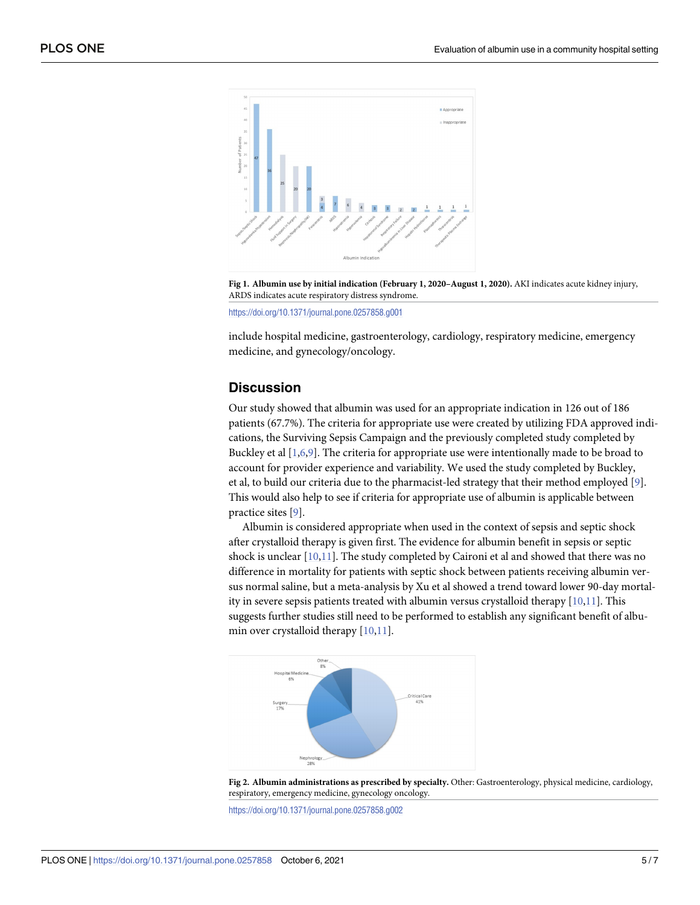<span id="page-5-0"></span>

**[Fig](#page-4-0) 1. Albumin use by initial indication (February 1, 2020–August 1, 2020).** AKI indicates acute kidney injury, ARDS indicates acute respiratory distress syndrome.

<https://doi.org/10.1371/journal.pone.0257858.g001>

include hospital medicine, gastroenterology, cardiology, respiratory medicine, emergency medicine, and gynecology/oncology.

#### **Discussion**

Our study showed that albumin was used for an appropriate indication in 126 out of 186 patients (67.7%). The criteria for appropriate use were created by utilizing FDA approved indications, the Surviving Sepsis Campaign and the previously completed study completed by Buckley et al [[1](#page-7-0),[6](#page-7-0),[9](#page-7-0)]. The criteria for appropriate use were intentionally made to be broad to account for provider experience and variability. We used the study completed by Buckley, et al, to build our criteria due to the pharmacist-led strategy that their method employed [\[9\]](#page-7-0). This would also help to see if criteria for appropriate use of albumin is applicable between practice sites [\[9](#page-7-0)].

Albumin is considered appropriate when used in the context of sepsis and septic shock after crystalloid therapy is given first. The evidence for albumin benefit in sepsis or septic shock is unclear [\[10,11](#page-7-0)]. The study completed by Caironi et al and showed that there was no difference in mortality for patients with septic shock between patients receiving albumin versus normal saline, but a meta-analysis by Xu et al showed a trend toward lower 90-day mortality in severe sepsis patients treated with albumin versus crystalloid therapy  $[10,11]$  $[10,11]$ . This suggests further studies still need to be performed to establish any significant benefit of albumin over crystalloid therapy  $[10,11]$  $[10,11]$ .



**[Fig](#page-4-0) 2. Albumin administrations as prescribed by specialty.** Other: Gastroenterology, physical medicine, cardiology, respiratory, emergency medicine, gynecology oncology.

<https://doi.org/10.1371/journal.pone.0257858.g002>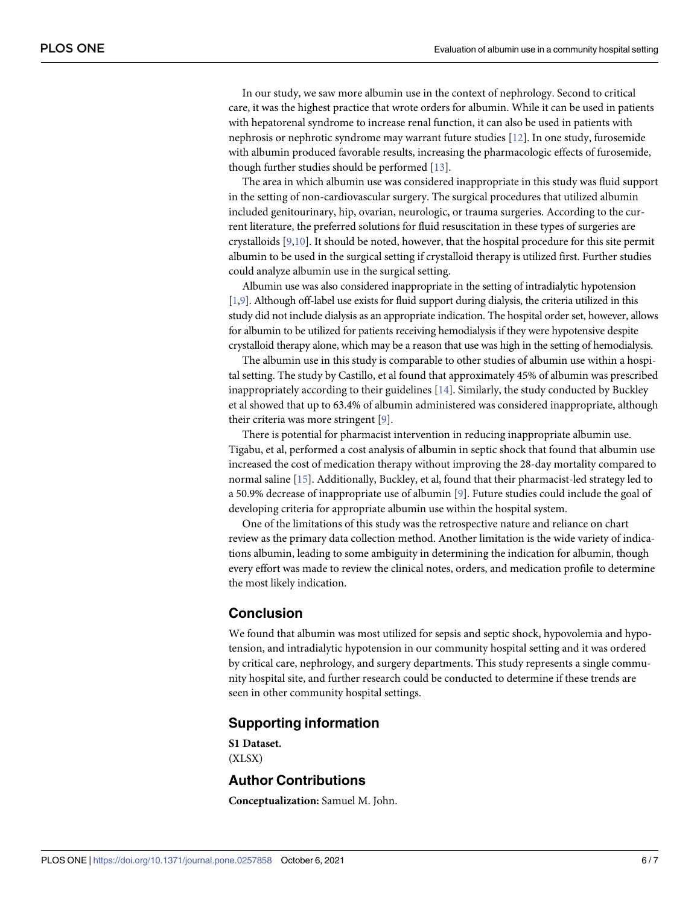<span id="page-6-0"></span>In our study, we saw more albumin use in the context of nephrology. Second to critical care, it was the highest practice that wrote orders for albumin. While it can be used in patients with hepatorenal syndrome to increase renal function, it can also be used in patients with nephrosis or nephrotic syndrome may warrant future studies [\[12\]](#page-7-0). In one study, furosemide with albumin produced favorable results, increasing the pharmacologic effects of furosemide, though further studies should be performed [[13](#page-7-0)].

The area in which albumin use was considered inappropriate in this study was fluid support in the setting of non-cardiovascular surgery. The surgical procedures that utilized albumin included genitourinary, hip, ovarian, neurologic, or trauma surgeries. According to the current literature, the preferred solutions for fluid resuscitation in these types of surgeries are crystalloids [[9](#page-7-0),[10](#page-7-0)]. It should be noted, however, that the hospital procedure for this site permit albumin to be used in the surgical setting if crystalloid therapy is utilized first. Further studies could analyze albumin use in the surgical setting.

Albumin use was also considered inappropriate in the setting of intradialytic hypotension [\[1,9\]](#page-7-0). Although off-label use exists for fluid support during dialysis, the criteria utilized in this study did not include dialysis as an appropriate indication. The hospital order set, however, allows for albumin to be utilized for patients receiving hemodialysis if they were hypotensive despite crystalloid therapy alone, which may be a reason that use was high in the setting of hemodialysis.

The albumin use in this study is comparable to other studies of albumin use within a hospital setting. The study by Castillo, et al found that approximately 45% of albumin was prescribed inappropriately according to their guidelines  $[14]$ . Similarly, the study conducted by Buckley et al showed that up to 63.4% of albumin administered was considered inappropriate, although their criteria was more stringent [[9](#page-7-0)].

There is potential for pharmacist intervention in reducing inappropriate albumin use. Tigabu, et al, performed a cost analysis of albumin in septic shock that found that albumin use increased the cost of medication therapy without improving the 28-day mortality compared to normal saline [[15](#page-7-0)]. Additionally, Buckley, et al, found that their pharmacist-led strategy led to a 50.9% decrease of inappropriate use of albumin [[9](#page-7-0)]. Future studies could include the goal of developing criteria for appropriate albumin use within the hospital system.

One of the limitations of this study was the retrospective nature and reliance on chart review as the primary data collection method. Another limitation is the wide variety of indications albumin, leading to some ambiguity in determining the indication for albumin, though every effort was made to review the clinical notes, orders, and medication profile to determine the most likely indication.

#### **Conclusion**

We found that albumin was most utilized for sepsis and septic shock, hypovolemia and hypotension, and intradialytic hypotension in our community hospital setting and it was ordered by critical care, nephrology, and surgery departments. This study represents a single community hospital site, and further research could be conducted to determine if these trends are seen in other community hospital settings.

#### **Supporting information**

**S1 [Dataset.](http://www.plosone.org/article/fetchSingleRepresentation.action?uri=info:doi/10.1371/journal.pone.0257858.s001)** (XLSX)

### **Author Contributions**

**Conceptualization:** Samuel M. John.